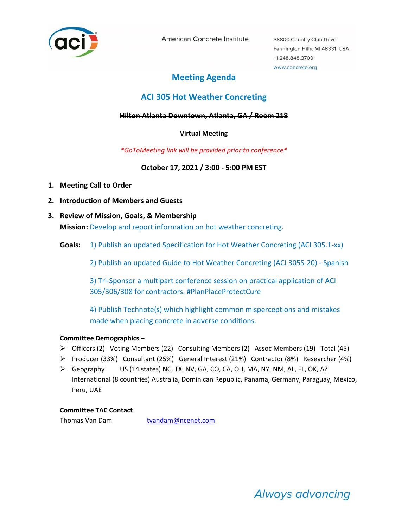

American Concrete Institute

38800 Country Club Drive Farmington Hills, MI 48331 USA +1.248.848.3700 www.concrete.org

# **Meeting Agenda**

# **ACI 305 Hot Weather Concreting**

## **Hilton Atlanta Downtown, Atlanta, GA / Room 218**

# **Virtual Meeting**

# *\*GoToMeeting link will be provided prior to conference\**

**October 17, 2021 / 3:00 ‐ 5:00 PM EST** 

- **1. Meeting Call to Order**
- **2. Introduction of Members and Guests**
- **3. Review of Mission, Goals, & Membership Mission:** Develop and report information on hot weather concreting.
	- Goals: 1) Publish an updated Specification for Hot Weather Concreting (ACI 305.1-xx)

2) Publish an updated Guide to Hot Weather Concreting (ACI 305S‐20) ‐ Spanish

3) Tri‐Sponsor a multipart conference session on practical application of ACI 305/306/308 for contractors. #PlanPlaceProtectCure

4) Publish Technote(s) which highlight common misperceptions and mistakes made when placing concrete in adverse conditions.

# **Committee Demographics –**

- $\triangleright$  Officers (2) Voting Members (22) Consulting Members (2) Assoc Members (19) Total (45)
- Producer (33%) Consultant (25%) General Interest (21%) Contractor (8%) Researcher (4%)
- ▶ Geography US (14 states) NC, TX, NV, GA, CO, CA, OH, MA, NY, NM, AL, FL, OK, AZ International (8 countries) Australia, Dominican Republic, Panama, Germany, Paraguay, Mexico, Peru, UAE

## **Committee TAC Contact**

Thomas Van Dam **tvandam@ncenet.com** 

Always advancing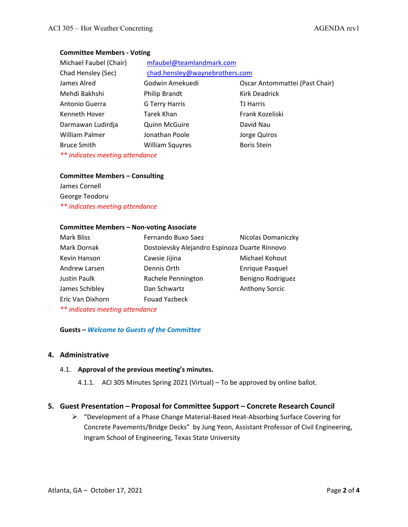## **Committee Members ‐ Voting**

| Michael Faubel (Chair) | mfaubel@teamlandmark.com       |                                |
|------------------------|--------------------------------|--------------------------------|
| Chad Hensley (Sec)     | chad.hensley@waynebrothers.com |                                |
| James Alred            | Godwin Amekuedi                | Oscar Antommattei (Past Chair) |
| Mehdi Bakhshi          | <b>Philip Brandt</b>           | <b>Kirk Deadrick</b>           |
| Antonio Guerra         | G Terry Harris                 | <b>TJ Harris</b>               |
| Kenneth Hover          | Tarek Khan                     | Frank Kozeliski                |
| Darmawan Ludirdja      | <b>Quinn McGuire</b>           | David Nau                      |
| William Palmer         | Jonathan Poole                 | Jorge Quiros                   |
| <b>Bruce Smith</b>     | <b>William Squyres</b>         | <b>Boris Stein</b>             |

*\*\* indicates meeting attendance* 

#### **Committee Members – Consulting**

James Cornell George Teodoru *\*\* indicates meeting attendance* 

#### **Committee Members – Non‐voting Associate**

| <b>Mark Bliss</b>               | Fernando Buxo Saez                            | Nicolas Domaniczky     |  |
|---------------------------------|-----------------------------------------------|------------------------|--|
| Mark Dornak                     | Dostoievsky Alejandro Espinoza Duarte Rinnovo |                        |  |
| Kevin Hanson                    | Cawsie Jijina                                 | Michael Kohout         |  |
| Andrew Larsen                   | Dennis Orth                                   | <b>Enrique Pasquel</b> |  |
| Justin Paulk                    | Rachele Pennington                            | Benigno Rodriguez      |  |
| James Schibley                  | Dan Schwartz                                  | <b>Anthony Sorcic</b>  |  |
| Eric Van Dixhorn                | <b>Fouad Yazbeck</b>                          |                        |  |
| ** indicates meeting attendance |                                               |                        |  |

#### **Guests –** *Welcome to Guests of the Committee*

## **4. Administrative**

## 4.1. **Approval of the previous meeting's minutes.**

4.1.1. ACI 305 Minutes Spring 2021 (Virtual) – To be approved by online ballot.

## **5. Guest Presentation – Proposal for Committee Support – Concrete Research Council**

 "Development of a Phase Change Material‐Based Heat‐Absorbing Surface Covering for Concrete Pavements/Bridge Decks" by Jung Yeon, Assistant Professor of Civil Engineering, Ingram School of Engineering, Texas State University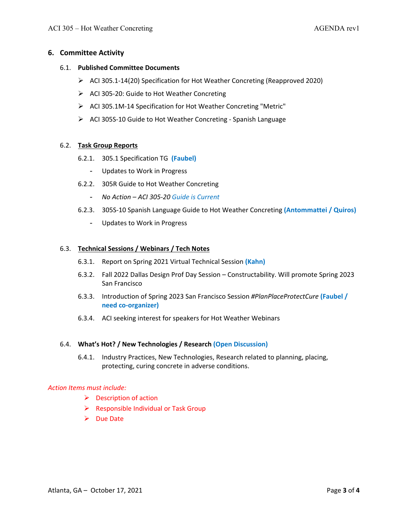## **6. Committee Activity**

#### 6.1. **Published Committee Documents**

- ACI 305.1‐14(20) Specification for Hot Weather Concreting (Reapproved 2020)
- ACI 305‐20: Guide to Hot Weather Concreting
- ACI 305.1M‐14 Specification for Hot Weather Concreting "Metric"
- ACI 305S‐10 Guide to Hot Weather Concreting ‐ Spanish Language

#### 6.2. **Task Group Reports**

- 6.2.1. 305.1 Specification TG **(Faubel)**
	- Updates to Work in Progress
- 6.2.2. 305R Guide to Hot Weather Concreting
	- *No Action ACI 305‐20 Guide is Current*
- 6.2.3. 305S‐10 Spanish Language Guide to Hot Weather Concreting **(Antommattei / Quiros)**
	- Updates to Work in Progress

## 6.3. **Technical Sessions / Webinars / Tech Notes**

- 6.3.1. Report on Spring 2021 Virtual Technical Session **(Kahn)**
- 6.3.2. Fall 2022 Dallas Design Prof Day Session Constructability. Will promote Spring 2023 San Francisco
- 6.3.3. Introduction of Spring 2023 San Francisco Session *#PlanPlaceProtectCure* **(Faubel / need co‐organizer)**
- 6.3.4. ACI seeking interest for speakers for Hot Weather Webinars

#### 6.4. **What's Hot? / New Technologies / Research (Open Discussion)**

6.4.1. Industry Practices, New Technologies, Research related to planning, placing, protecting, curing concrete in adverse conditions.

#### *Action Items must include:*

- $\triangleright$  Description of action
- $\triangleright$  Responsible Individual or Task Group
- $\triangleright$  Due Date